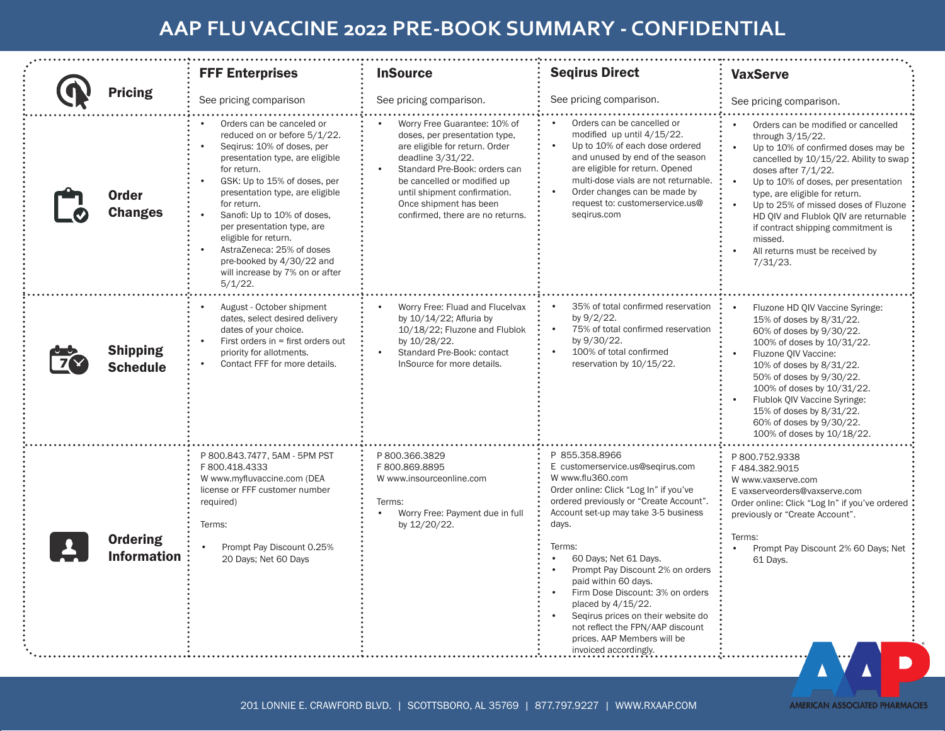## **AAP FLU VACCINE 2022 PRE-BOOK SUMMARY - CONFIDENTIAL**

|  | <b>Pricing</b>                        | <b>FFF Enterprises</b>                                                                                                                                                                                                                                                                                                                                                                                                      | <b>InSource</b>                                                                                                                                                                                                                                                                    | <b>Segirus Direct</b>                                                                                                                                                                                                                                                                                                                                                                                                                                                                                   | <b>VaxServe</b>                                                                                                                                                                                                                                                                                                                                                                                                                            |  |
|--|---------------------------------------|-----------------------------------------------------------------------------------------------------------------------------------------------------------------------------------------------------------------------------------------------------------------------------------------------------------------------------------------------------------------------------------------------------------------------------|------------------------------------------------------------------------------------------------------------------------------------------------------------------------------------------------------------------------------------------------------------------------------------|---------------------------------------------------------------------------------------------------------------------------------------------------------------------------------------------------------------------------------------------------------------------------------------------------------------------------------------------------------------------------------------------------------------------------------------------------------------------------------------------------------|--------------------------------------------------------------------------------------------------------------------------------------------------------------------------------------------------------------------------------------------------------------------------------------------------------------------------------------------------------------------------------------------------------------------------------------------|--|
|  |                                       | See pricing comparison                                                                                                                                                                                                                                                                                                                                                                                                      | See pricing comparison.                                                                                                                                                                                                                                                            | See pricing comparison.                                                                                                                                                                                                                                                                                                                                                                                                                                                                                 | See pricing comparison.                                                                                                                                                                                                                                                                                                                                                                                                                    |  |
|  | <b>Order</b><br><b>Changes</b>        | Orders can be canceled or<br>reduced on or before 5/1/22.<br>Segirus: 10% of doses, per<br>presentation type, are eligible<br>for return.<br>GSK: Up to 15% of doses, per<br>presentation type, are eligible<br>for return.<br>Sanofi: Up to 10% of doses,<br>per presentation type, are<br>eligible for return.<br>AstraZeneca: 25% of doses<br>pre-booked by 4/30/22 and<br>will increase by 7% on or after<br>$5/1/22$ . | Worry Free Guarantee: 10% of<br>doses, per presentation type,<br>are eligible for return. Order<br>deadline 3/31/22.<br>Standard Pre-Book: orders can<br>be cancelled or modified up<br>until shipment confirmation.<br>Once shipment has been<br>confirmed, there are no returns. | Orders can be cancelled or<br>modified up until 4/15/22.<br>Up to 10% of each dose ordered<br>and unused by end of the season<br>are eligible for return. Opened<br>multi-dose vials are not returnable.<br>Order changes can be made by<br>$\bullet$<br>request to: customerservice.us@<br>segirus.com                                                                                                                                                                                                 | Orders can be modified or cancelled<br>through 3/15/22.<br>Up to 10% of confirmed doses may be<br>cancelled by 10/15/22. Ability to swap<br>doses after 7/1/22.<br>$\bullet$<br>Up to 10% of doses, per presentation<br>type, are eligible for return.<br>Up to 25% of missed doses of Fluzone<br>HD QIV and Flublok QIV are returnable<br>if contract shipping commitment is<br>missed.<br>All returns must be received by<br>$7/31/23$ . |  |
|  | <b>Shipping</b><br><b>Schedule</b>    | August - October shipment<br>dates, select desired delivery<br>dates of your choice.<br>First orders in = first orders out<br>priority for allotments.<br>Contact FFF for more details.                                                                                                                                                                                                                                     | Worry Free: Fluad and Flucelvax<br>by 10/14/22; Afluria by<br>10/18/22; Fluzone and Flublok<br>by 10/28/22.<br>Standard Pre-Book: contact<br>InSource for more details.                                                                                                            | 35% of total confirmed reservation<br>$\bullet$<br>by 9/2/22.<br>75% of total confirmed reservation<br>$\bullet$<br>by 9/30/22.<br>100% of total confirmed<br>reservation by 10/15/22.                                                                                                                                                                                                                                                                                                                  | Fluzone HD QIV Vaccine Syringe:<br>15% of doses by 8/31/22.<br>60% of doses by 9/30/22.<br>100% of doses by 10/31/22.<br>Fluzone QIV Vaccine:<br>10% of doses by 8/31/22.<br>50% of doses by 9/30/22.<br>100% of doses by 10/31/22.<br>Flublok QIV Vaccine Syringe:<br>15% of doses by 8/31/22.<br>60% of doses by 9/30/22.<br>100% of doses by 10/18/22.                                                                                  |  |
|  | <b>Ordering</b><br><b>Information</b> | P 800.843.7477, 5AM - 5PM PST<br>F 800.418.4333<br>W www.myfluvaccine.com (DEA<br>license or FFF customer number<br>required)<br>Terms:<br>Prompt Pay Discount 0.25%<br>20 Days; Net 60 Days                                                                                                                                                                                                                                | P 800.366.3829<br>F 800.869.8895<br>W www.insourceonline.com<br>Terms:<br>Worry Free: Payment due in full<br>$\bullet$<br>by 12/20/22.                                                                                                                                             | P 855.358.8966<br>E customerservice.us@seqirus.com<br>W www.flu360.com<br>Order online: Click "Log In" if you've<br>ordered previously or "Create Account".<br>Account set-up may take 3-5 business<br>days.<br>Terms:<br>60 Days; Net 61 Days.<br>Prompt Pay Discount 2% on orders<br>paid within 60 days.<br>Firm Dose Discount: 3% on orders<br>placed by 4/15/22.<br>Segirus prices on their website do<br>not reflect the FPN/AAP discount<br>prices. AAP Members will be<br>invoiced accordingly. | P 800.752.9338<br>F484.382.9015<br>W www.vaxserve.com<br>E vaxserveorders@vaxserve.com<br>Order online: Click "Log In" if you've ordered ;<br>previously or "Create Account".<br>Terms:<br>Prompt Pay Discount 2% 60 Days; Net<br>61 Days.                                                                                                                                                                                                 |  |

**AMERICAN ASSOCIATED PHARMACIES**